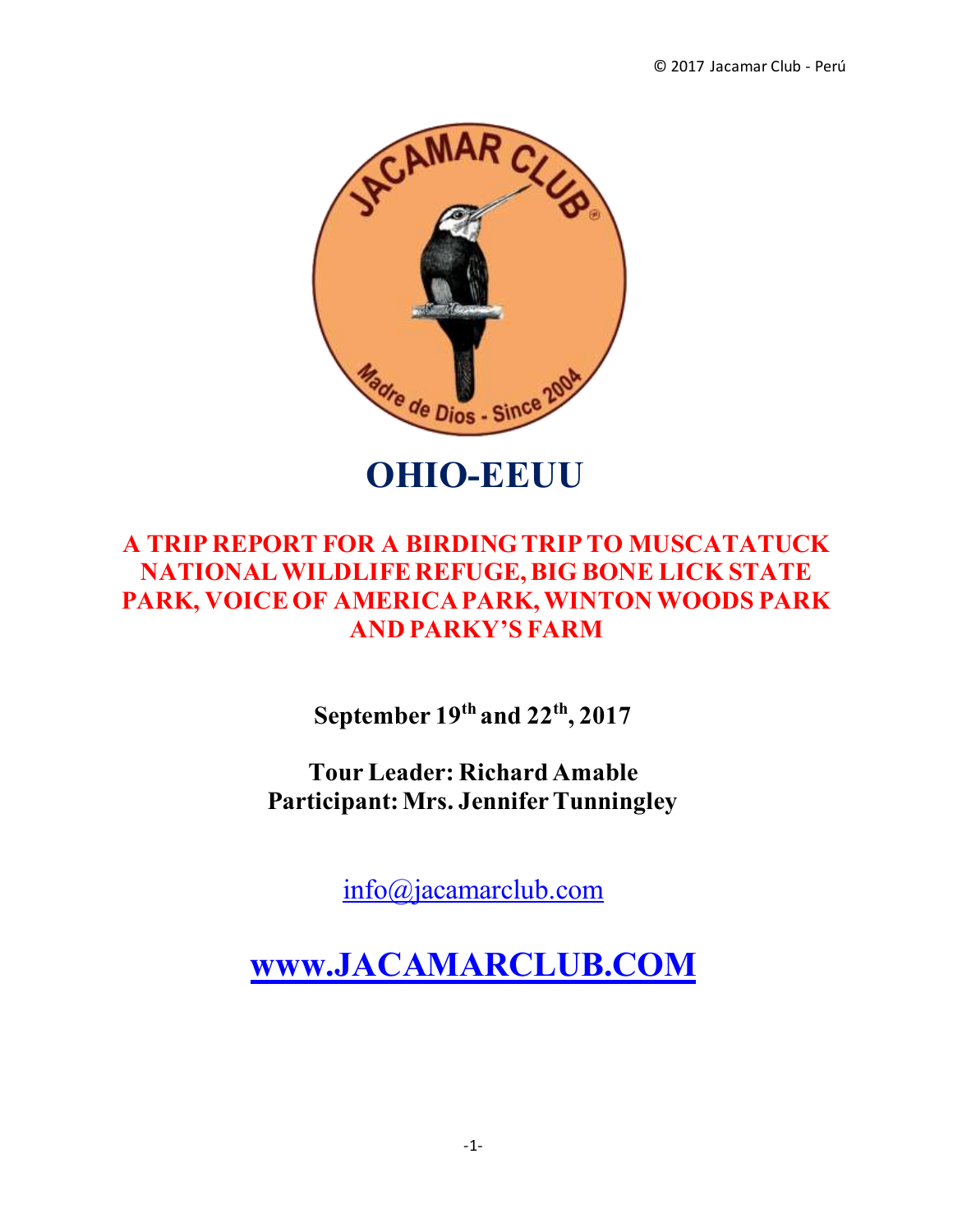

**OHIO-EEUU**

# **A TRIP REPORT FOR A BIRDING TRIP TO MUSCATATUCK NATIONAL WILDLIFE REFUGE, BIG BONE LICK STATE PARK, VOICE OF AMERICA PARK, WINTON WOODS PARK AND PARKY'S FARM**

**September 19th and 22th, 2017** 

**Tour Leader: Richard Amable Participant: Mrs. Jennifer Tunningley**

[info@jacamarclub.com](mailto:info@jacamarclub.com)

**[www.JACAMARCLUB.COM](http://www.jacamarclub.com/)**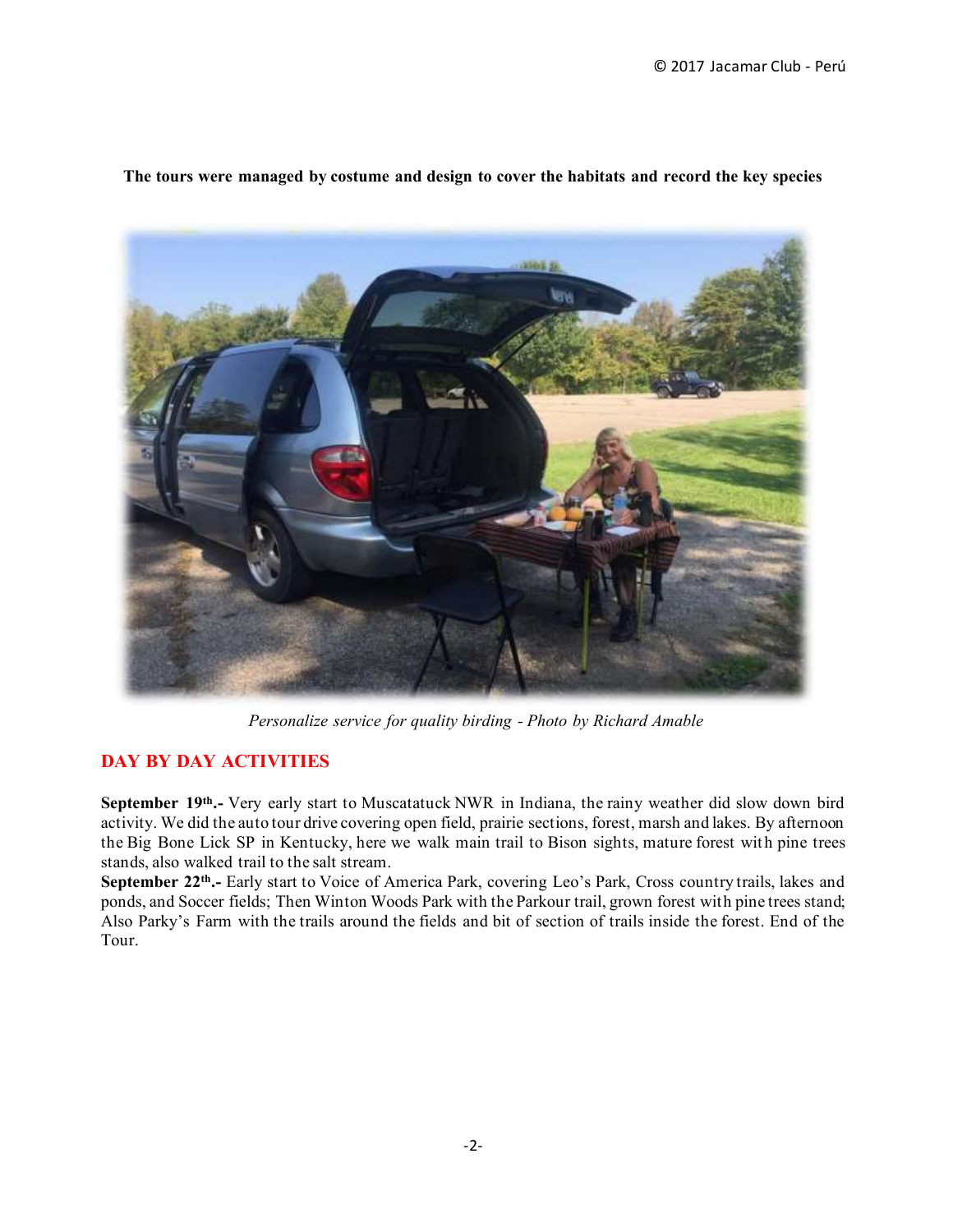

**The tours were managed by costume and design to cover the habitats and record the key species**

*Personalize service for quality birding - Photo by Richard Amable*

#### **DAY BY DAY ACTIVITIES**

**September 19th.-** Very early start to Muscatatuck NWR in Indiana, the rainy weather did slow down bird activity. We did the auto tour drive covering open field, prairie sections, forest, marsh and lakes. By afternoon the Big Bone Lick SP in Kentucky, here we walk main trail to Bison sights, mature forest with pine trees stands, also walked trail to the salt stream.

**September 22th.-** Early start to Voice of America Park, covering Leo's Park, Cross country trails, lakes and ponds, and Soccer fields; Then Winton Woods Park with the Parkour trail, grown forest with pine trees stand; Also Parky's Farm with the trails around the fields and bit of section of trails inside the forest. End of the Tour.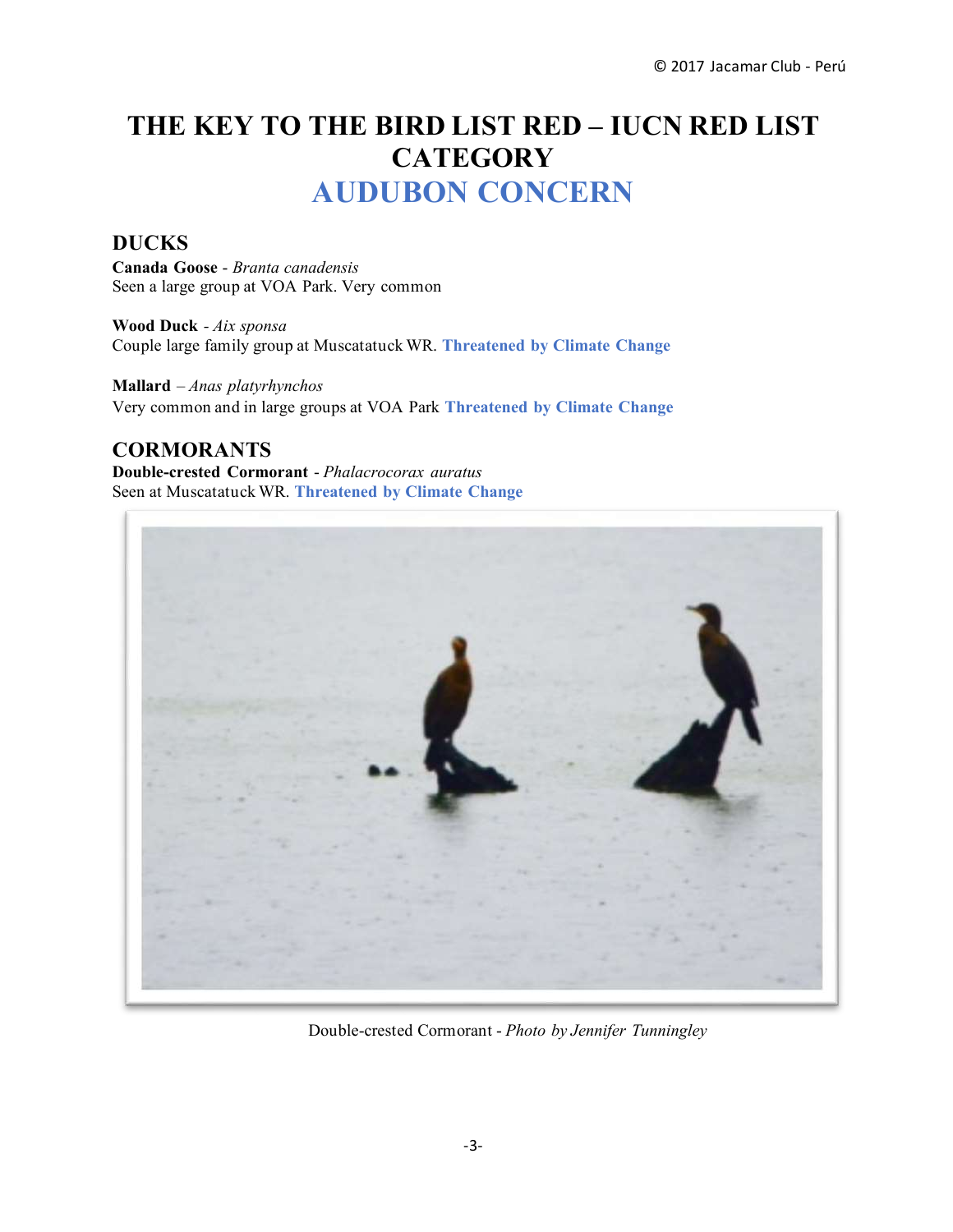# **THE KEY TO THE BIRD LIST RED – IUCN RED LIST CATEGORY AUDUBON CONCERN**

# **DUCKS**

**Canada Goose** - *Branta canadensis* Seen a large group at VOA Park. Very common

**Wood Duck** *- Aix sponsa* Couple large family group at Muscatatuck WR. **Threatened by Climate Change**

**Mallard** – *Anas platyrhynchos* Very common and in large groups at VOA Park **Threatened by Climate Change**

# **CORMORANTS**

**Double-crested Cormorant** - *Phalacrocorax auratus* Seen at Muscatatuck WR. **Threatened by Climate Change**



Double-crested Cormorant - *Photo by Jennifer Tunningley*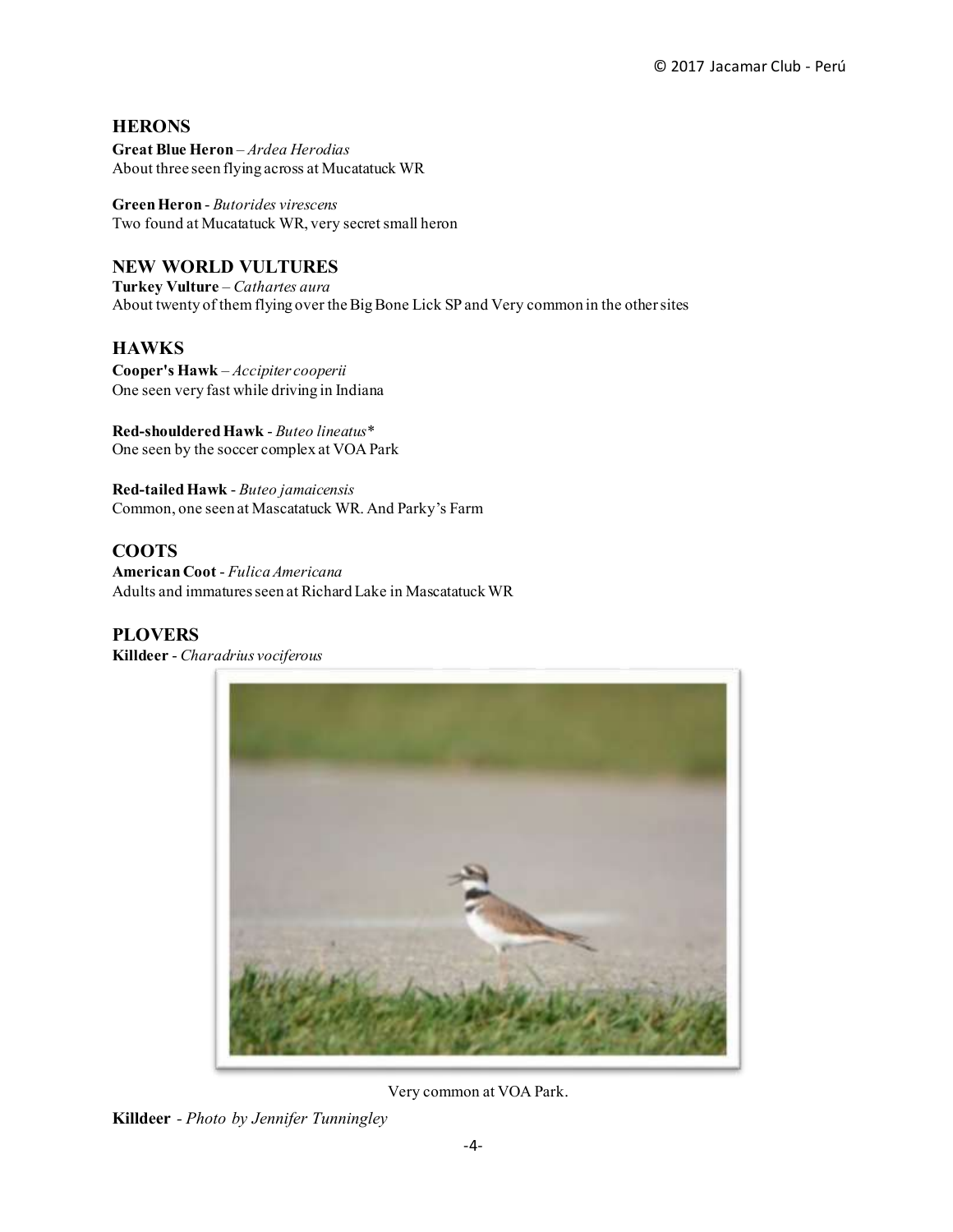#### **HERONS**

**Great Blue Heron** – *Ardea Herodias* About three seen flying across at Mucatatuck WR

**Green Heron** - *Butorides virescens* Two found at Mucatatuck WR, very secret small heron

#### **NEW WORLD VULTURES**

**Turkey Vulture** – *Cathartes aura* About twenty of them flying over the Big Bone Lick SP and Very common in the other sites

#### **HAWKS**

**Cooper's Hawk** – *Accipiter cooperii* One seen very fast while driving in Indiana

**Red-shouldered Hawk** - *Buteo lineatus\** One seen by the soccer complex at VOA Park

**Red-tailed Hawk** - *Buteo jamaicensis* Common, one seen at Mascatatuck WR. And Parky's Farm

#### **COOTS**

**American Coot** - *Fulica Americana* Adults and immatures seen at Richard Lake in Mascatatuck WR

#### **PLOVERS**

**Killdeer** - *Charadrius vociferous*



Very common at VOA Park.

**Killdeer** *- Photo by Jennifer Tunningley*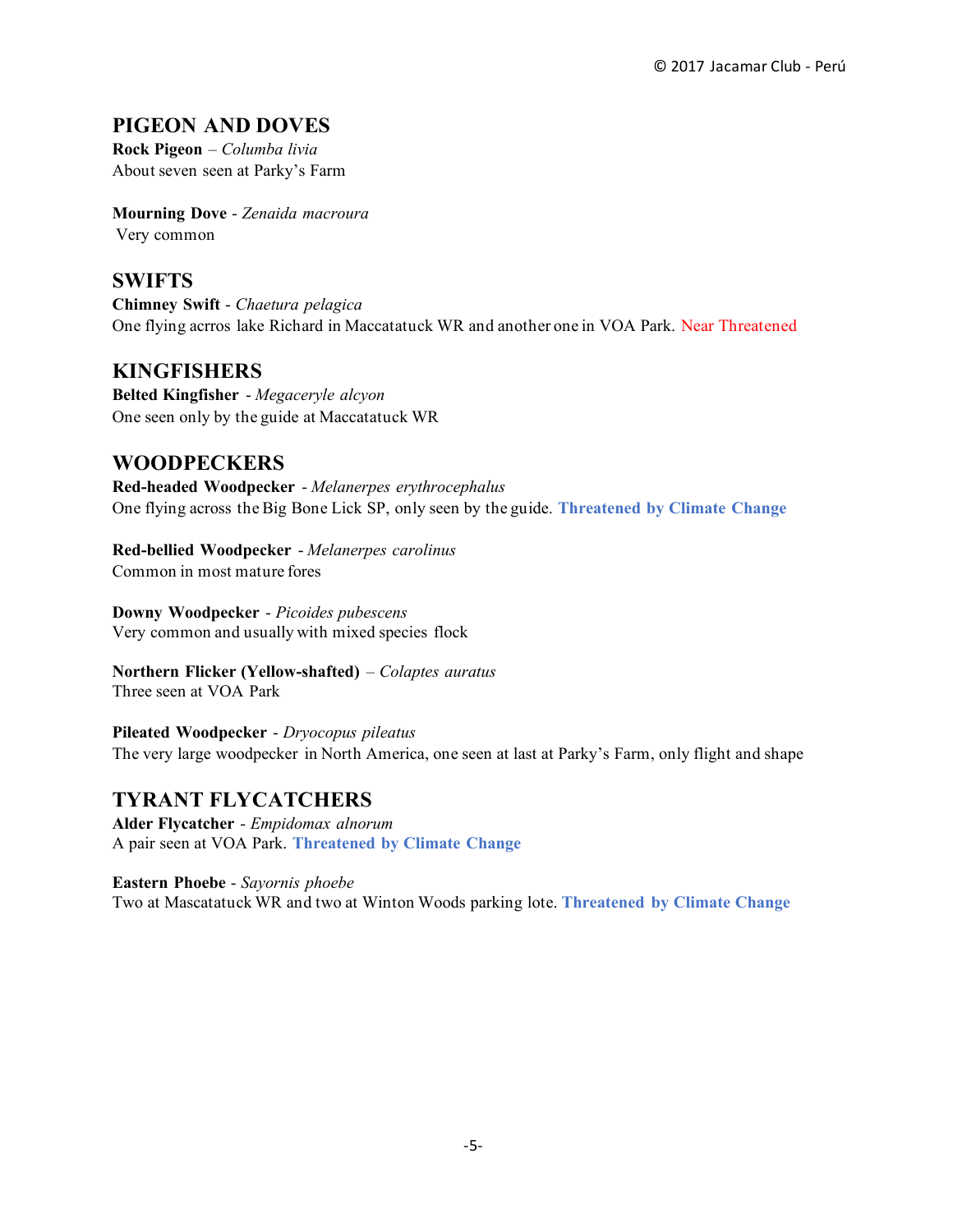# **PIGEON AND DOVES**

**Rock Pigeon** – *Columba livia* About seven seen at Parky's Farm

**Mourning Dove** - *Zenaida macroura* Very common

#### **SWIFTS**

**Chimney Swift** - *Chaetura pelagica* One flying acrros lake Richard in Maccatatuck WR and another one in VOA Park. Near Threatened

# **KINGFISHERS**

**Belted Kingfisher** - *Megaceryle alcyon* One seen only by the guide at Maccatatuck WR

# **WOODPECKERS**

**Red-headed Woodpecker** - *Melanerpes erythrocephalus* One flying across the Big Bone Lick SP, only seen by the guide. **Threatened by Climate Change**

**Red-bellied Woodpecker** - *Melanerpes carolinus* Common in most mature fores

**Downy Woodpecker** - *Picoides pubescens* Very common and usually with mixed species flock

**Northern Flicker (Yellow-shafted)** – *Colaptes auratus* Three seen at VOA Park

**Pileated Woodpecker** - *Dryocopus pileatus* The very large woodpecker in North America, one seen at last at Parky's Farm, only flight and shape

#### **TYRANT FLYCATCHERS**

**Alder Flycatcher** - *Empidomax alnorum* A pair seen at VOA Park. **Threatened by Climate Change**

**Eastern Phoebe** - *Sayornis phoebe* Two at Mascatatuck WR and two at Winton Woods parking lote. **Threatened by Climate Change**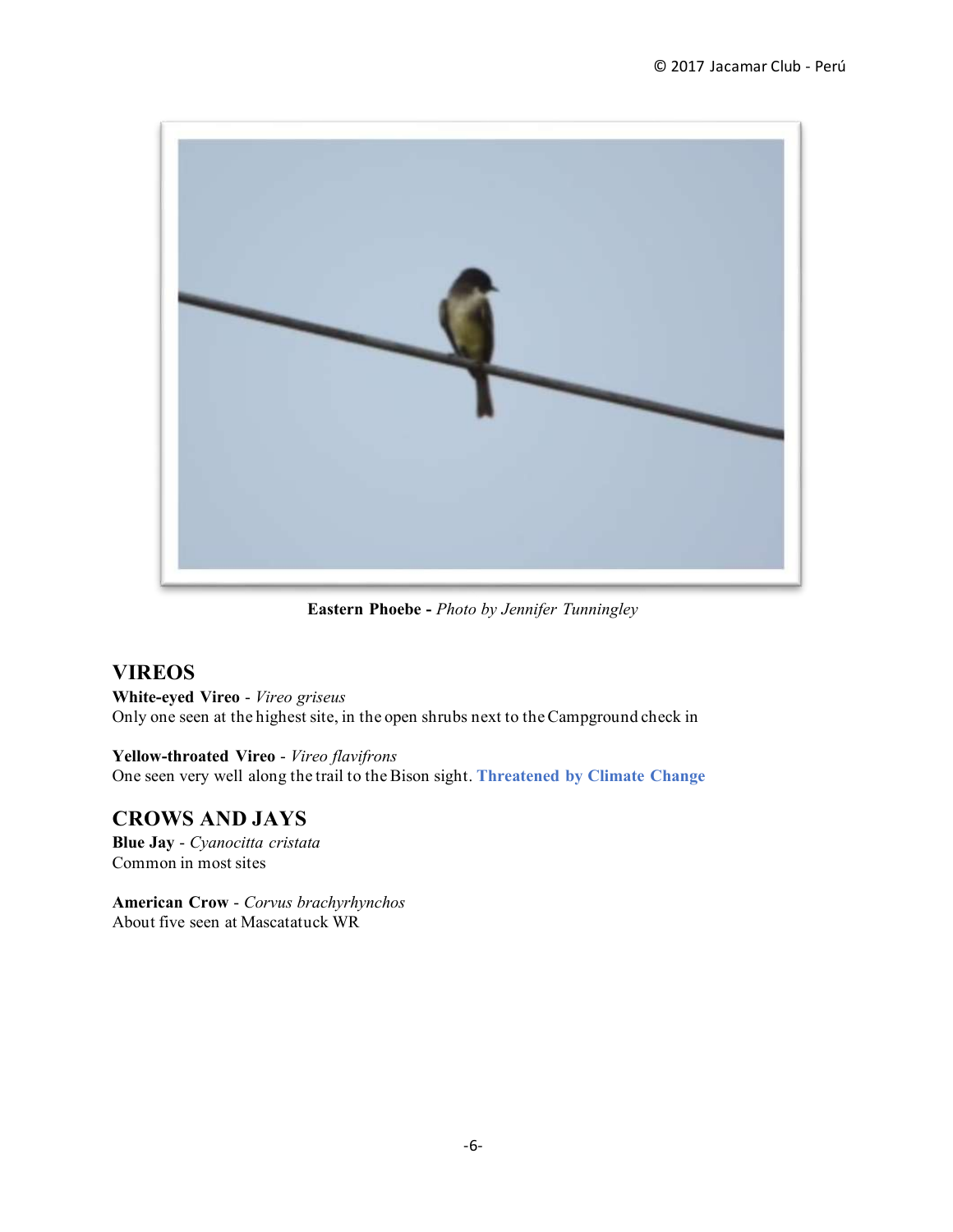

**Eastern Phoebe -** *Photo by Jennifer Tunningley*

# **VIREOS**

**White-eyed Vireo** - *Vireo griseus* Only one seen at the highest site, in the open shrubs next to the Campground check in

**Yellow-throated Vireo** - *Vireo flavifrons* One seen very well along the trail to the Bison sight. **Threatened by Climate Change**

# **CROWS AND JAYS**

**Blue Jay** - *Cyanocitta cristata* Common in most sites

**American Crow** - *Corvus brachyrhynchos* About five seen at Mascatatuck WR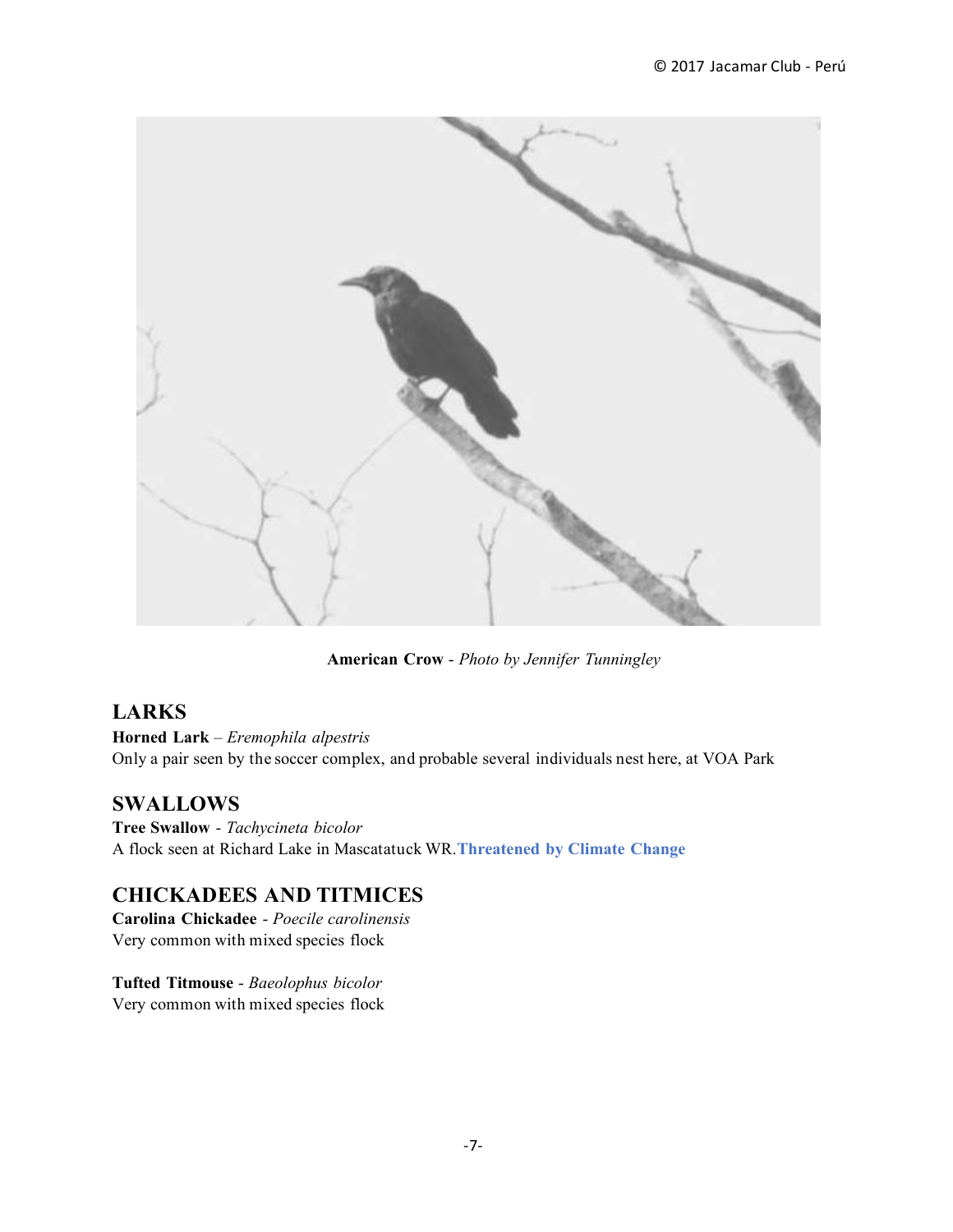

**American Crow** - *Photo by Jennifer Tunningley*

# **LARKS**

**Horned Lark** – *Eremophila alpestris* Only a pair seen by the soccer complex, and probable several individuals nest here, at VOA Park

# **SWALLOWS**

**Tree Swallow** - *Tachycineta bicolor* A flock seen at Richard Lake in Mascatatuck WR.**Threatened by Climate Change**

# **CHICKADEES AND TITMICES**

**Carolina Chickadee** - *Poecile carolinensis* Very common with mixed species flock

**Tufted Titmouse** - *Baeolophus bicolor* Very common with mixed species flock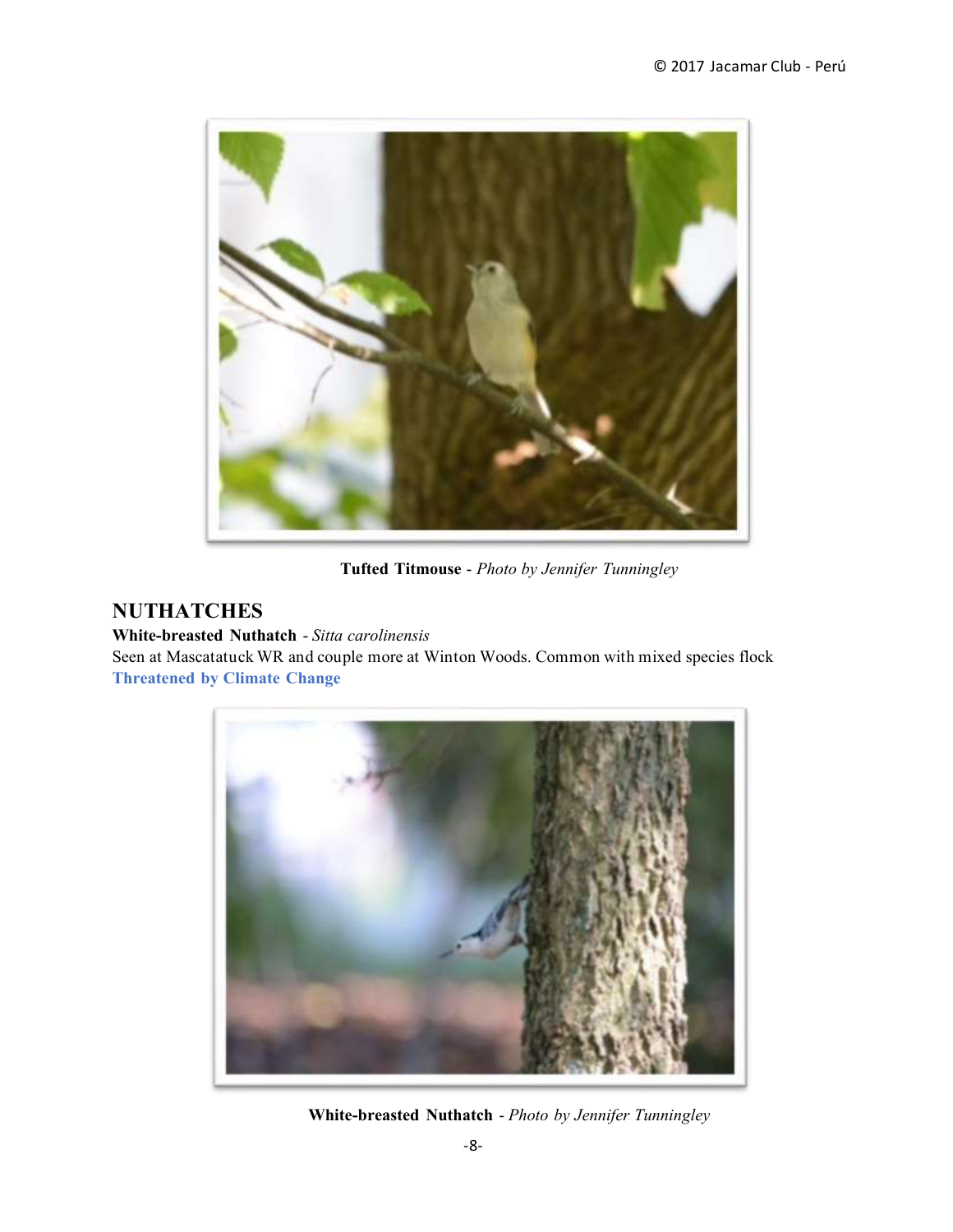

**Tufted Titmouse** - *Photo by Jennifer Tunningley*

# **NUTHATCHES**

**White-breasted Nuthatch** - *Sitta carolinensis*

Seen at Mascatatuck WR and couple more at Winton Woods. Common with mixed species flock **Threatened by Climate Change**



**White-breasted Nuthatch** - *Photo by Jennifer Tunningley*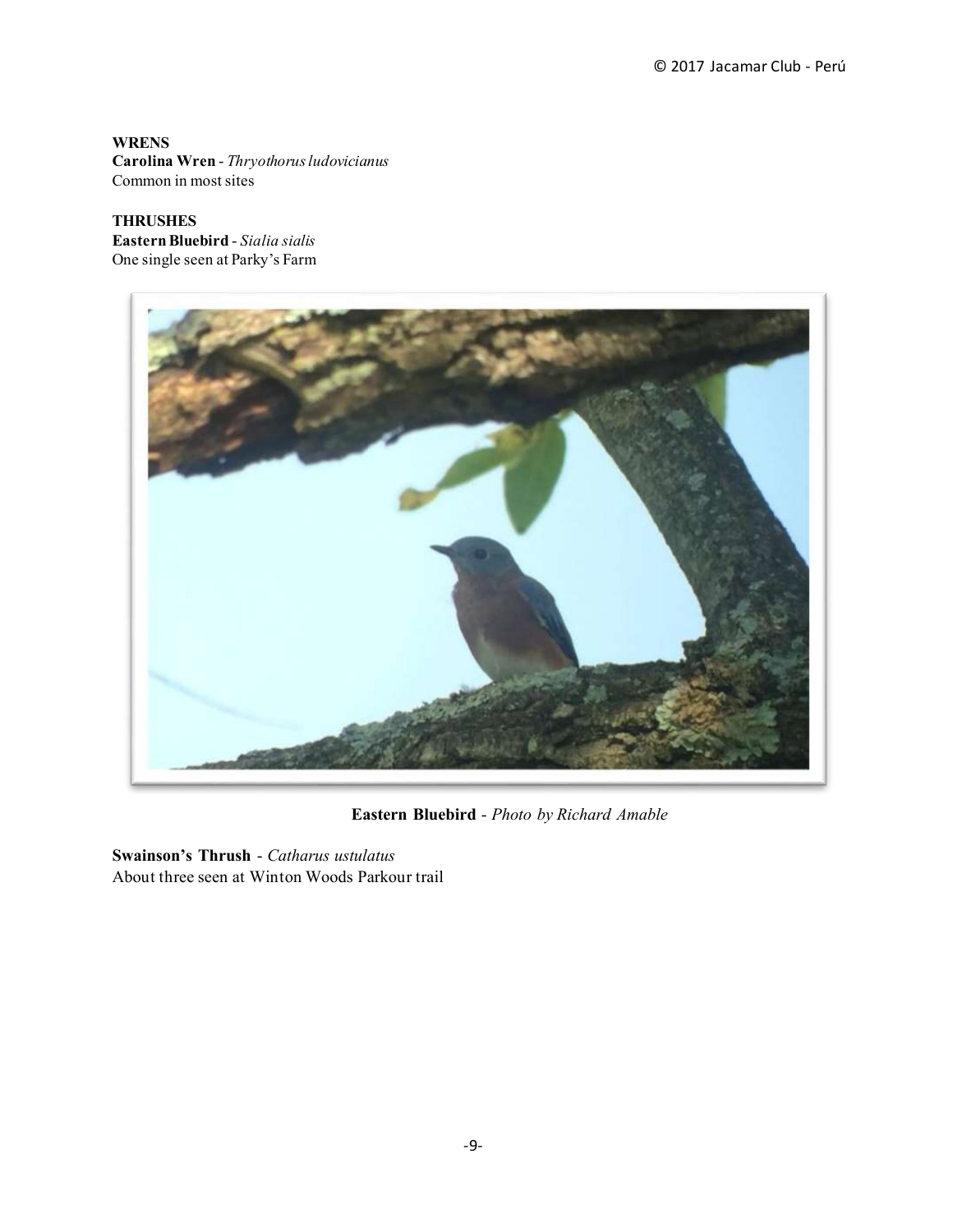**WRENS Carolina Wren** - *Thryothorus ludovicianus* Common in most sites

**THRUSHES Eastern Bluebird** - *Sialia sialis* One single seen at Parky's Farm



**Eastern Bluebird** - *Photo by Richard Amable*

**Swainson's Thrush** - *Catharus ustulatus* About three seen at Winton Woods Parkour trail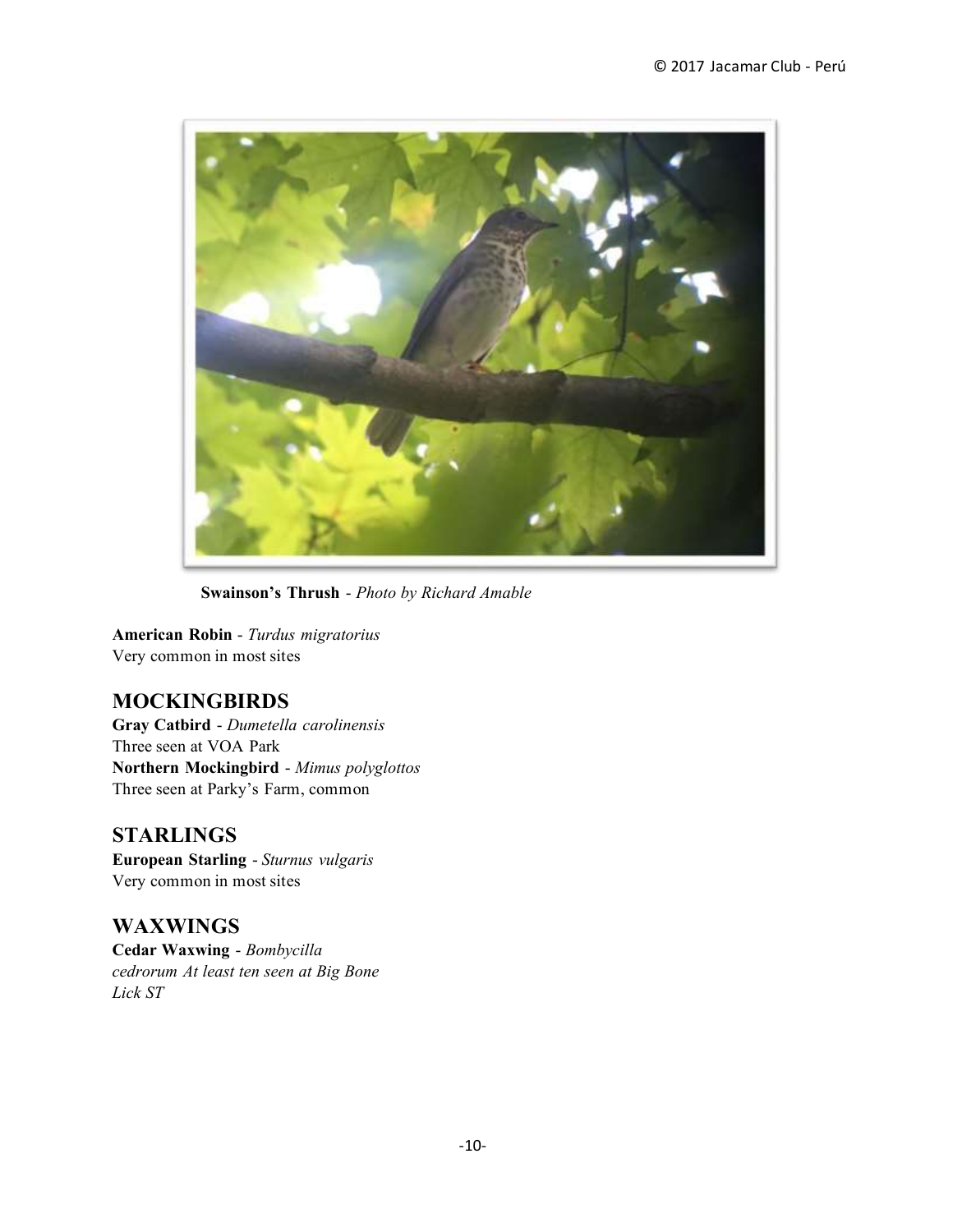

**Swainson's Thrush** - *Photo by Richard Amable*

**American Robin** - *Turdus migratorius* Very common in most sites

#### **MOCKINGBIRDS**

**Gray Catbird** - *Dumetella carolinensis* Three seen at VOA Park **Northern Mockingbird** - *Mimus polyglottos* Three seen at Parky's Farm, common

#### **STARLINGS**

**European Starling** - *Sturnus vulgaris* Very common in most sites

**WAXWINGS Cedar Waxwing** - *Bombycilla cedrorum At least ten seen at Big Bone Lick ST*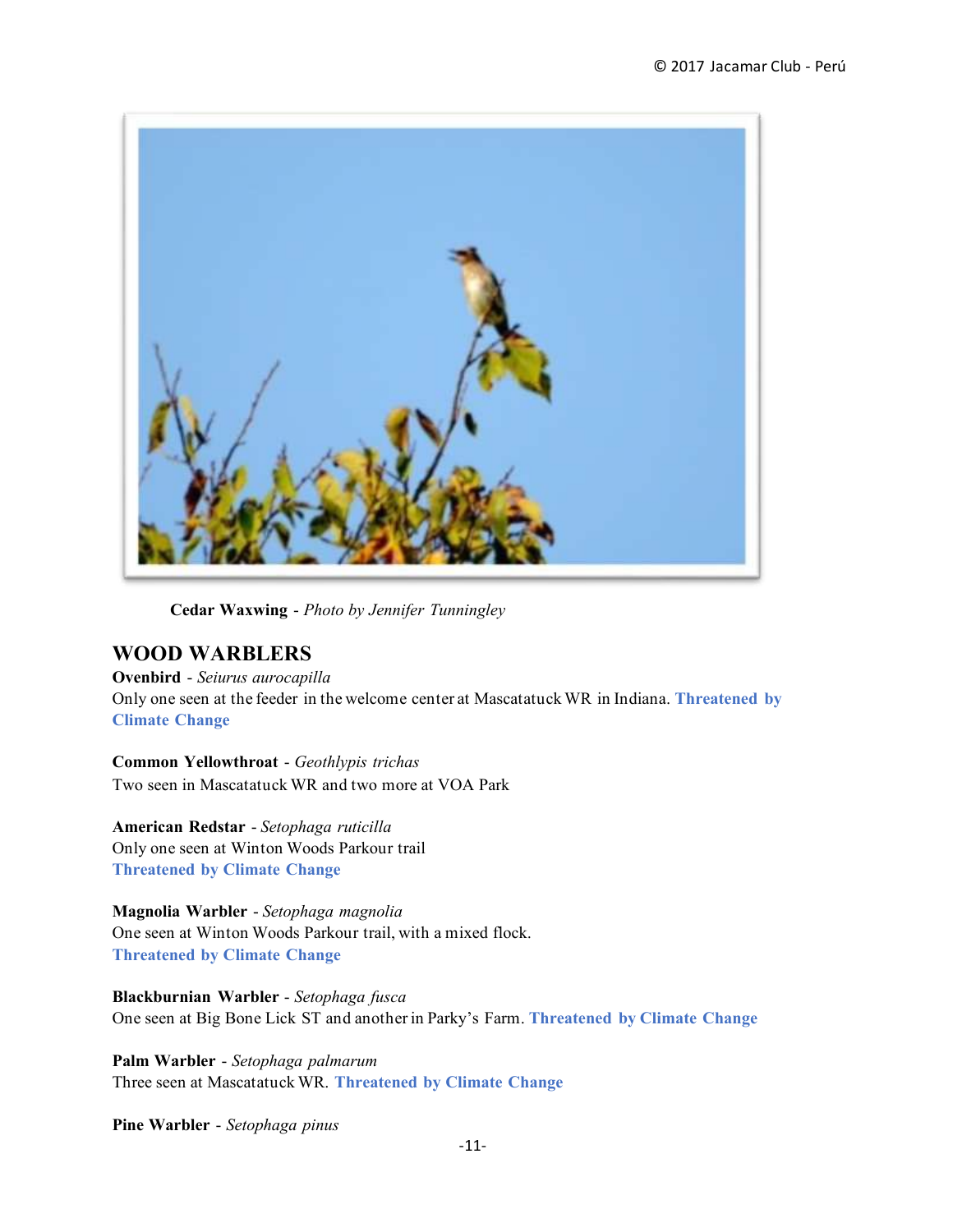

**Cedar Waxwing** - *Photo by Jennifer Tunningley*

# **WOOD WARBLERS**

**Ovenbird** - *Seiurus aurocapilla* Only one seen at the feeder in the welcome center at Mascatatuck WR in Indiana. **Threatened by Climate Change**

**Common Yellowthroat** - *Geothlypis trichas* Two seen in Mascatatuck WR and two more at VOA Park

**American Redstar** - *Setophaga ruticilla* Only one seen at Winton Woods Parkour trail **Threatened by Climate Change**

**Magnolia Warbler** - *Setophaga magnolia* One seen at Winton Woods Parkour trail, with a mixed flock. **Threatened by Climate Change**

**Blackburnian Warbler** - *Setophaga fusca* One seen at Big Bone Lick ST and another in Parky's Farm. **Threatened by Climate Change**

**Palm Warbler** - *Setophaga palmarum* Three seen at Mascatatuck WR. **Threatened by Climate Change**

**Pine Warbler** - *Setophaga pinus*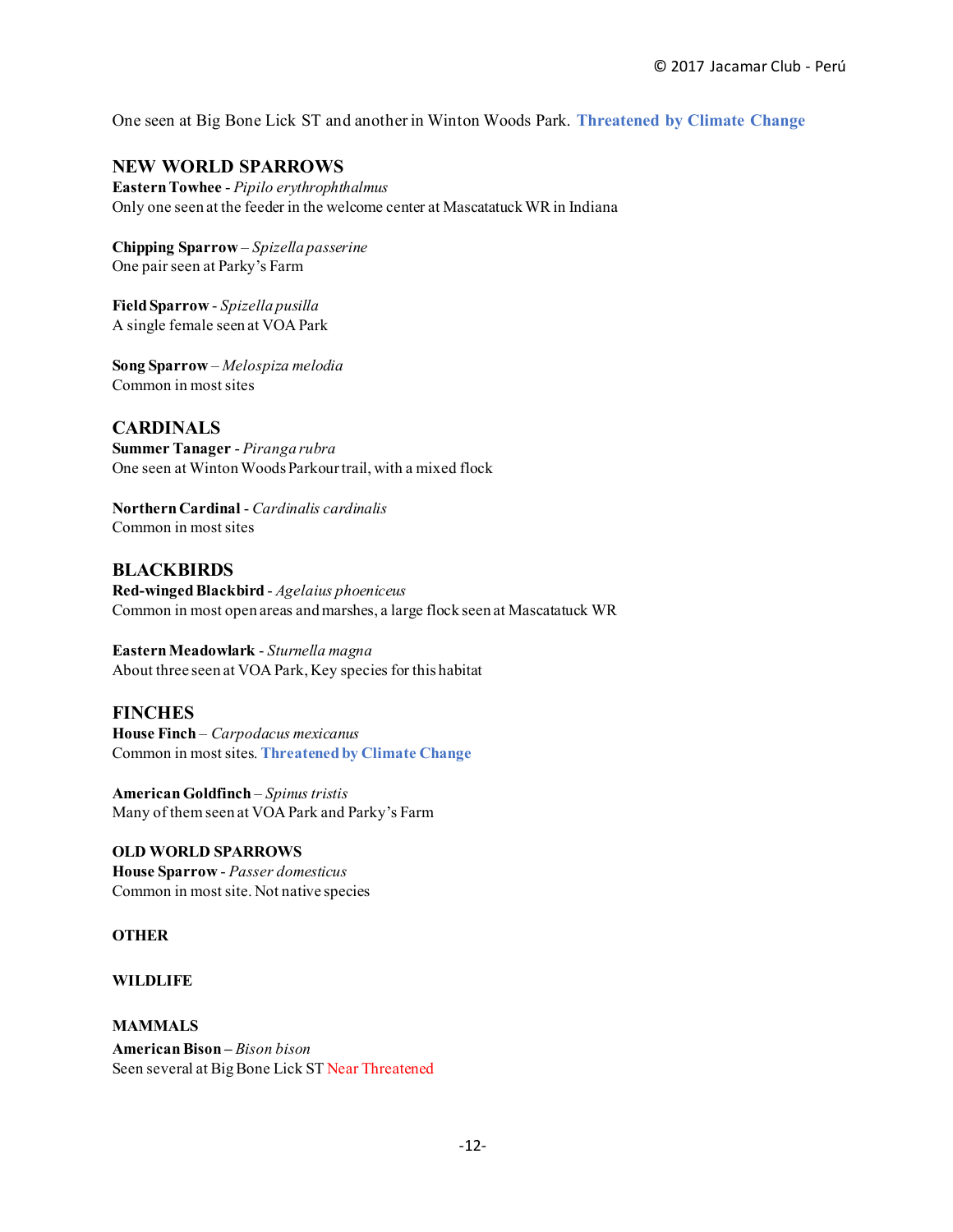One seen at Big Bone Lick ST and another in Winton Woods Park. **Threatened by Climate Change**

#### **NEW WORLD SPARROWS**

**Eastern Towhee** - *Pipilo erythrophthalmus* Only one seen at the feeder in the welcome center at Mascatatuck WR in Indiana

**Chipping Sparrow** – *Spizella passerine* One pair seen at Parky's Farm

**Field Sparrow** - *Spizella pusilla* A single female seen at VOA Park

**Song Sparrow** – *Melospiza melodia* Common in most sites

**CARDINALS Summer Tanager** - *Piranga rubra* One seen at Winton Woods Parkour trail, with a mixed flock

**Northern Cardinal** - *Cardinalis cardinalis* Common in most sites

**BLACKBIRDS Red-winged Blackbird** - *Agelaius phoeniceus* Common in most open areas and marshes, a large flock seen at Mascatatuck WR

**Eastern Meadowlark** - *Sturnella magna* About three seen at VOA Park, Key species for this habitat

#### **FINCHES**

**House Finch** – *Carpodacus mexicanus* Common in most sites. **Threatened by Climate Change**

**American Goldfinch** – *Spinus tristis* Many of them seen at VOA Park and Parky's Farm

**OLD WORLD SPARROWS House Sparrow** - *Passer domesticus* Common in most site. Not native species

**OTHER** 

**WILDLIFE** 

**MAMMALS American Bison –** *Bison bison* Seen several at Big Bone Lick ST Near Threatened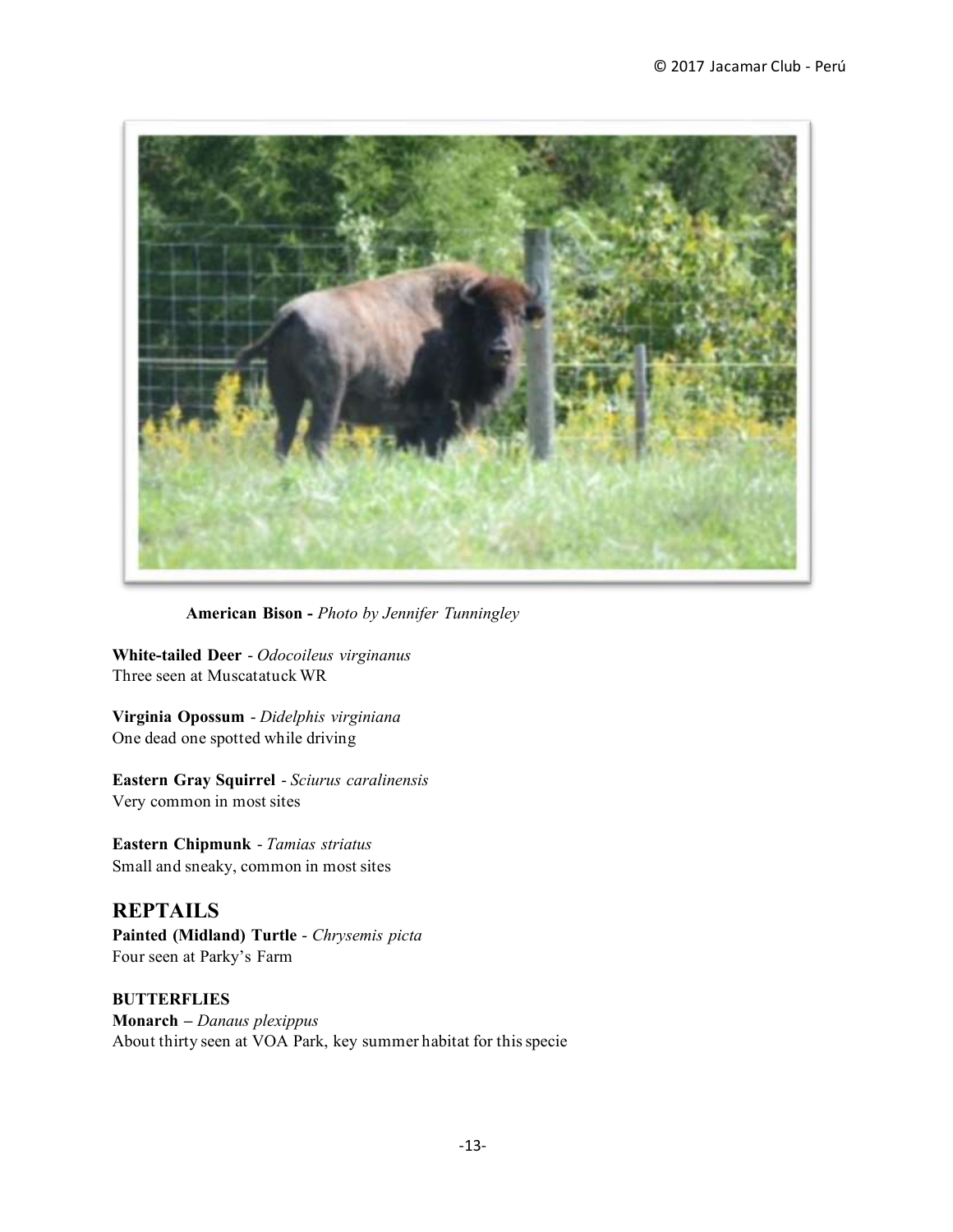

**American Bison -** *Photo by Jennifer Tunningley*

**White-tailed Deer** - *Odocoileus virginanus* Three seen at Muscatatuck WR

**Virginia Opossum** - *Didelphis virginiana* One dead one spotted while driving

**Eastern Gray Squirrel** - *Sciurus caralinensis* Very common in most sites

**Eastern Chipmunk** - *Tamias striatus* Small and sneaky, common in most sites

**REPTAILS Painted (Midland) Turtle** - *Chrysemis picta* Four seen at Parky's Farm

**BUTTERFLIES Monarch –** *Danaus plexippus* About thirty seen at VOA Park, key summer habitat for this specie